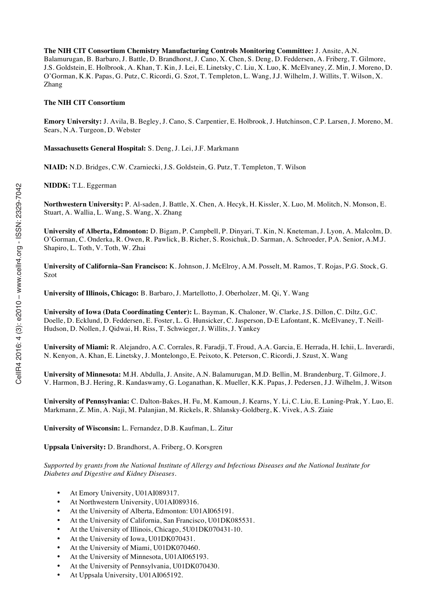**The NIH CIT Consortium Chemistry Manufacturing Controls Monitoring Committee:** J. Ansite, A.N. Balamurugan, B. Barbaro, J. Battle, D. Brandhorst, J. Cano, X. Chen, S. Deng, D. Feddersen, A. Friberg, T. Gilmore, J.S. Goldstein, E. Holbrook, A. Khan, T. Kin, J. Lei, E. Linetsky, C. Liu, X. Luo, K. McElvaney, Z. Min, J. Moreno, D. O'Gorman, K.K. Papas, G. Putz, C. Ricordi, G. Szot, T. Templeton, L. Wang, J.J. Wilhelm, J. Willits, T. Wilson, X. Zhang

#### **The NIH CIT Consortium**

**Emory University:** J. Avila, B. Begley, J. Cano, S. Carpentier, E. Holbrook, J. Hutchinson, C.P. Larsen, J. Moreno, M. Sears, N.A. Turgeon, D. Webster

**Massachusetts General Hospital:** S. Deng, J. Lei, J.F. Markmann

**NIAID:** N.D. Bridges, C.W. Czarniecki, J.S. Goldstein, G. Putz, T. Templeton, T. Wilson

**NIDDK:** T.L. Eggerman

**Northwestern University:** P. Al-saden, J. Battle, X. Chen, A. Hecyk, H. Kissler, X. Luo, M. Molitch, N. Monson, E. Stuart, A. Wallia, L. Wang, S. Wang, X. Zhang

**University of Alberta, Edmonton:** D. Bigam, P. Campbell, P. Dinyari, T. Kin, N. Kneteman, J. Lyon, A. Malcolm, D. O'Gorman, C. Onderka, R. Owen, R. Pawlick, B. Richer, S. Rosichuk, D. Sarman, A. Schroeder, P.A. Senior, A.M.J. Shapiro, L. Toth, V. Toth, W. Zhai

**University of California–San Francisco:** K. Johnson, J. McElroy, A.M. Posselt, M. Ramos, T. Rojas, P.G. Stock, G. Szot

**University of Illinois, Chicago:** B. Barbaro, J. Martellotto, J. Oberholzer, M. Qi, Y. Wang

**University of Iowa (Data Coordinating Center):** L. Bayman, K. Chaloner, W. Clarke, J.S. Dillon, C. Diltz, G.C. Doelle, D. Ecklund, D. Feddersen, E. Foster, L. G. Hunsicker, C. Jasperson, D-E Lafontant, K. McElvaney, T. Neill-Hudson, D. Nollen, J. Qidwai, H. Riss, T. Schwieger, J. Willits, J. Yankey

**University of Miami:** R. Alejandro, A.C. Corrales, R. Faradji, T. Froud, A.A. Garcia, E. Herrada, H. Ichii, L. Inverardi, N. Kenyon, A. Khan, E. Linetsky, J. Montelongo, E. Peixoto, K. Peterson, C. Ricordi, J. Szust, X. Wang

**University of Minnesota:** M.H. Abdulla, J. Ansite, A.N. Balamurugan, M.D. Bellin, M. Brandenburg, T. Gilmore, J. V. Harmon, B.J. Hering, R. Kandaswamy, G. Loganathan, K. Mueller, K.K. Papas, J. Pedersen, J.J. Wilhelm, J. Witson

**University of Pennsylvania:** C. Dalton-Bakes, H. Fu, M. Kamoun, J. Kearns, Y. Li, C. Liu, E. Luning-Prak, Y. Luo, E. Markmann, Z. Min, A. Naji, M. Palanjian, M. Rickels, R. Shlansky-Goldberg, K. Vivek, A.S. Ziaie

**University of Wisconsin:** L. Fernandez, D.B. Kaufman, L. Zitur

**Uppsala University:** D. Brandhorst, A. Friberg, O. Korsgren

*Supported by grants from the National Institute of Allergy and Infectious Diseases and the National Institute for Diabetes and Digestive and Kidney Diseases.*

- At Emory University, U01AI089317.
- At Northwestern University, U01AI089316.
- At the University of Alberta, Edmonton: U01AI065191.
- At the University of California, San Francisco, U01DK085531.
- At the University of Illinois, Chicago, 5U01DK070431-10.
- At the University of Iowa, U01DK070431.
- At the University of Miami, U01DK070460.
- At the University of Minnesota, U01AI065193.
- At the University of Pennsylvania, U01DK070430.
- At Uppsala University, U01AI065192.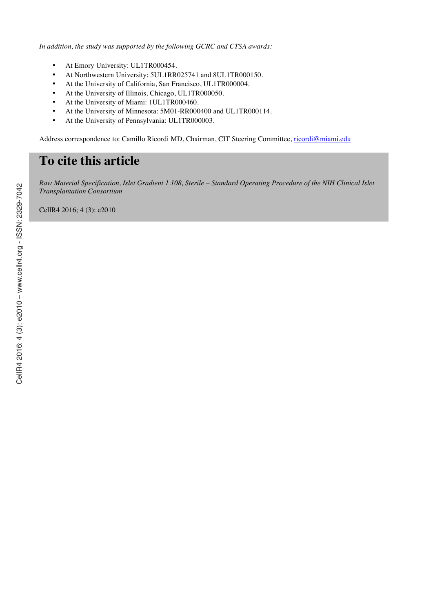*In addition, the study was supported by the following GCRC and CTSA awards:*

- At Emory University: UL1TR000454.
- At Northwestern University: 5UL1RR025741 and 8UL1TR000150.
- At the University of California, San Francisco, UL1TR000004.
- At the University of Illinois, Chicago, UL1TR000050.
- At the University of Miami: 1UL1TR000460.
- At the University of Minnesota: 5M01-RR000400 and UL1TR000114.
- At the University of Pennsylvania: UL1TR000003.

Address correspondence to: Camillo Ricordi MD, Chairman, CIT Steering Committee, ricordi@miami.edu

# **To cite this article**

*Raw Material Specification, Islet Gradient 1.108, Sterile – Standard Operating Procedure of the NIH Clinical Islet Transplantation Consortium*

CellR4 2016; 4 (3): e2010